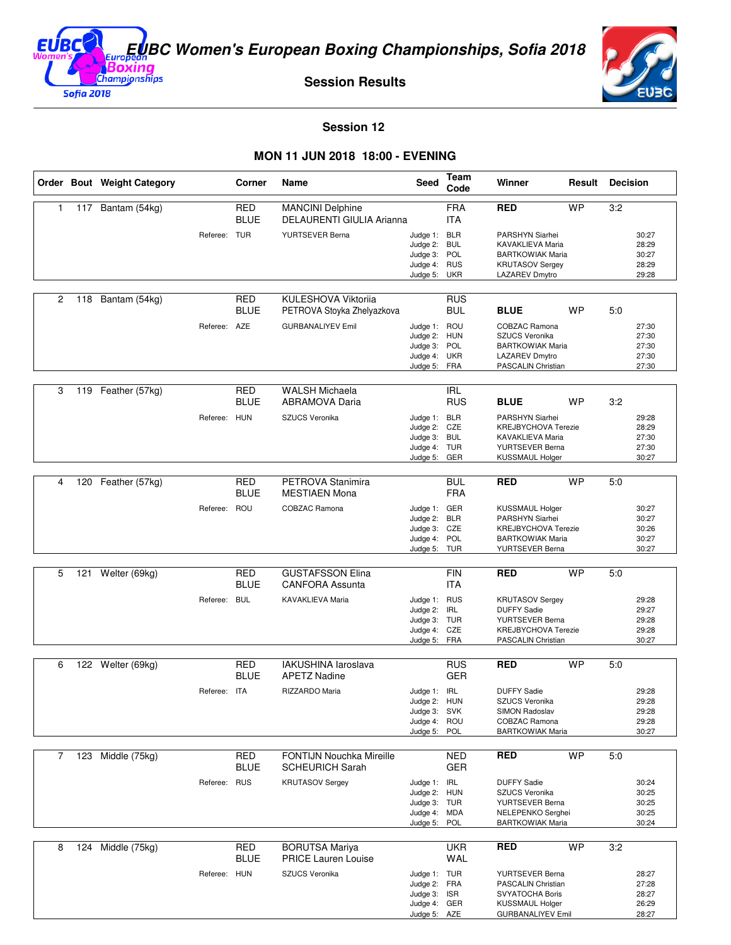

**Session Results**



**Session 12** 

## **MON 11 JUN 2018 18:00 - EVENING**

|              |     | Order Bout Weight Category |              | Corner                    | Name                                                      | Seed                                                                         | Team<br>Code             | Winner                                                                                                                | Result    | <b>Decision</b> |                                           |
|--------------|-----|----------------------------|--------------|---------------------------|-----------------------------------------------------------|------------------------------------------------------------------------------|--------------------------|-----------------------------------------------------------------------------------------------------------------------|-----------|-----------------|-------------------------------------------|
| $\mathbf{1}$ | 117 | Bantam (54kg)              |              | <b>RED</b><br><b>BLUE</b> | <b>MANCINI Delphine</b><br>DELAURENTI GIULIA Arianna      |                                                                              | <b>FRA</b><br><b>ITA</b> | <b>RED</b>                                                                                                            | <b>WP</b> | 3:2             |                                           |
|              |     |                            | Referee: TUR |                           | YURTSEVER Berna                                           | Judge 1: BLR<br>Judge 2: BUL<br>Judge 3: POL<br>Judge 4: RUS<br>Judge 5:     | UKR                      | PARSHYN Siarhei<br>KAVAKLIEVA Maria<br><b>BARTKOWIAK Maria</b><br><b>KRUTASOV Sergey</b><br>LAZAREV Dmytro            |           |                 | 30:27<br>28:29<br>30:27<br>28:29<br>29:28 |
| 2            | 118 | Bantam (54kg)              |              | <b>RED</b><br><b>BLUE</b> | KULESHOVA Viktorija<br>PETROVA Stoyka Zhelyazkova         |                                                                              | <b>RUS</b><br><b>BUL</b> | <b>BLUE</b>                                                                                                           | <b>WP</b> | 5:0             |                                           |
|              |     |                            | Referee: AZE |                           | <b>GURBANALIYEV Emil</b>                                  | Judge 1: ROU<br>Judge 2: HUN<br>Judge 3: POL<br>Judge 4: UKR<br>Judge 5: FRA |                          | COBZAC Ramona<br><b>SZUCS Veronika</b><br><b>BARTKOWIAK Maria</b><br>LAZAREV Dmytro<br>PASCALIN Christian             |           |                 | 27:30<br>27:30<br>27:30<br>27:30<br>27:30 |
| 3            |     | 119 Feather (57kg)         |              | <b>RED</b><br><b>BLUE</b> | <b>WALSH Michaela</b><br><b>ABRAMOVA Daria</b>            |                                                                              | <b>IRL</b><br><b>RUS</b> | <b>BLUE</b>                                                                                                           | <b>WP</b> | 3:2             |                                           |
|              |     |                            | Referee:     | <b>HUN</b>                | SZUCS Veronika                                            | Judge 1: BLR<br>Judge 2: CZE<br>Judge 3: BUL<br>Judge 4: TUR<br>Judge 5:     | GER                      | PARSHYN Siarhei<br><b>KREJBYCHOVA Terezie</b><br>KAVAKLIEVA Maria<br>YURTSEVER Berna<br><b>KUSSMAUL Holger</b>        |           |                 | 29:28<br>28:29<br>27:30<br>27:30<br>30:27 |
| 4            | 120 | Feather (57kg)             |              | <b>RED</b>                | PETROVA Stanimira                                         |                                                                              | <b>BUL</b>               | <b>RED</b>                                                                                                            | <b>WP</b> | 5:0             |                                           |
|              |     |                            | Referee: ROU | <b>BLUE</b>               | <b>MESTIAEN Mona</b><br>COBZAC Ramona                     | Judge 1: GER<br>Judge 2:<br>Judge 3: CZE<br>Judge 4: POL<br>Judge 5: TUR     | <b>FRA</b><br><b>BLR</b> | <b>KUSSMAUL Holger</b><br>PARSHYN Siarhei<br><b>KREJBYCHOVA Terezie</b><br><b>BARTKOWIAK Maria</b><br>YURTSEVER Berna |           |                 | 30:27<br>30:27<br>30:26<br>30:27<br>30:27 |
| 5            | 121 | Welter (69kg)              |              | <b>RED</b>                | <b>GUSTAFSSON Elina</b>                                   |                                                                              | <b>FIN</b>               | <b>RED</b>                                                                                                            | <b>WP</b> | 5:0             |                                           |
|              |     |                            | Referee: BUL | <b>BLUE</b>               | <b>CANFORA Assunta</b><br>KAVAKLIEVA Maria                | Judge 1: RUS<br>Judge 2: IRL<br>Judge 3: TUR<br>Judge 4: CZE<br>Judge 5:     | <b>ITA</b><br>FRA        | <b>KRUTASOV Sergey</b><br><b>DUFFY Sadie</b><br>YURTSEVER Berna<br><b>KREJBYCHOVA Terezie</b><br>PASCALIN Christian   |           |                 | 29:28<br>29:27<br>29:28<br>29:28<br>30:27 |
| 6            |     | 122 Welter (69kg)          |              | <b>RED</b>                | IAKUSHINA laroslava                                       |                                                                              | <b>RUS</b>               | RED                                                                                                                   | <b>WP</b> | 5:0             |                                           |
|              |     |                            | Referee: ITA | <b>BLUE</b>               | <b>APETZ Nadine</b><br>RIZZARDO Maria                     | Judge 1: IRL<br>Judge 2: HUN<br>Judge 3: SVK<br>Judge 4: ROU<br>Judge 5:     | <b>GER</b><br>POL        | <b>DUFFY Sadie</b><br>SZUCS Veronika<br>SIMON Radoslav<br><b>COBZAC Ramona</b><br><b>BARTKOWIAK Maria</b>             |           |                 | 29:28<br>29:28<br>29:28<br>29:28<br>30:27 |
| 7            |     | 123 Middle (75kg)          |              | <b>RED</b><br><b>BLUE</b> | <b>FONTIJN Nouchka Mireille</b><br><b>SCHEURICH Sarah</b> |                                                                              | <b>NED</b><br><b>GER</b> | <b>RED</b>                                                                                                            | <b>WP</b> | 5:0             |                                           |
|              |     |                            | Referee: RUS |                           | <b>KRUTASOV Sergey</b>                                    | Judge 1: IRL<br>Judge 2: HUN<br>Judge 3: TUR<br>Judge 4: MDA<br>Judge 5:     | POL                      | <b>DUFFY Sadie</b><br>SZUCS Veronika<br>YURTSEVER Berna<br>NELEPENKO Serghei<br><b>BARTKOWIAK Maria</b>               |           |                 | 30:24<br>30:25<br>30:25<br>30:25<br>30:24 |
| 8            | 124 | Middle (75kg)              |              | <b>RED</b><br><b>BLUE</b> | <b>BORUTSA Mariya</b><br><b>PRICE Lauren Louise</b>       |                                                                              | <b>UKR</b><br>WAL        | <b>RED</b>                                                                                                            | <b>WP</b> | 3:2             |                                           |
|              |     |                            | Referee: HUN |                           | SZUCS Veronika                                            | Judge 1: TUR<br>Judge 2: FRA<br>Judge 3: ISR<br>Judge 4: GER<br>Judge 5: AZE |                          | YURTSEVER Berna<br>PASCALIN Christian<br><b>SVYATOCHA Boris</b><br><b>KUSSMAUL Holger</b><br><b>GURBANALIYEV Emil</b> |           |                 | 28:27<br>27:28<br>28:27<br>26:29<br>28:27 |